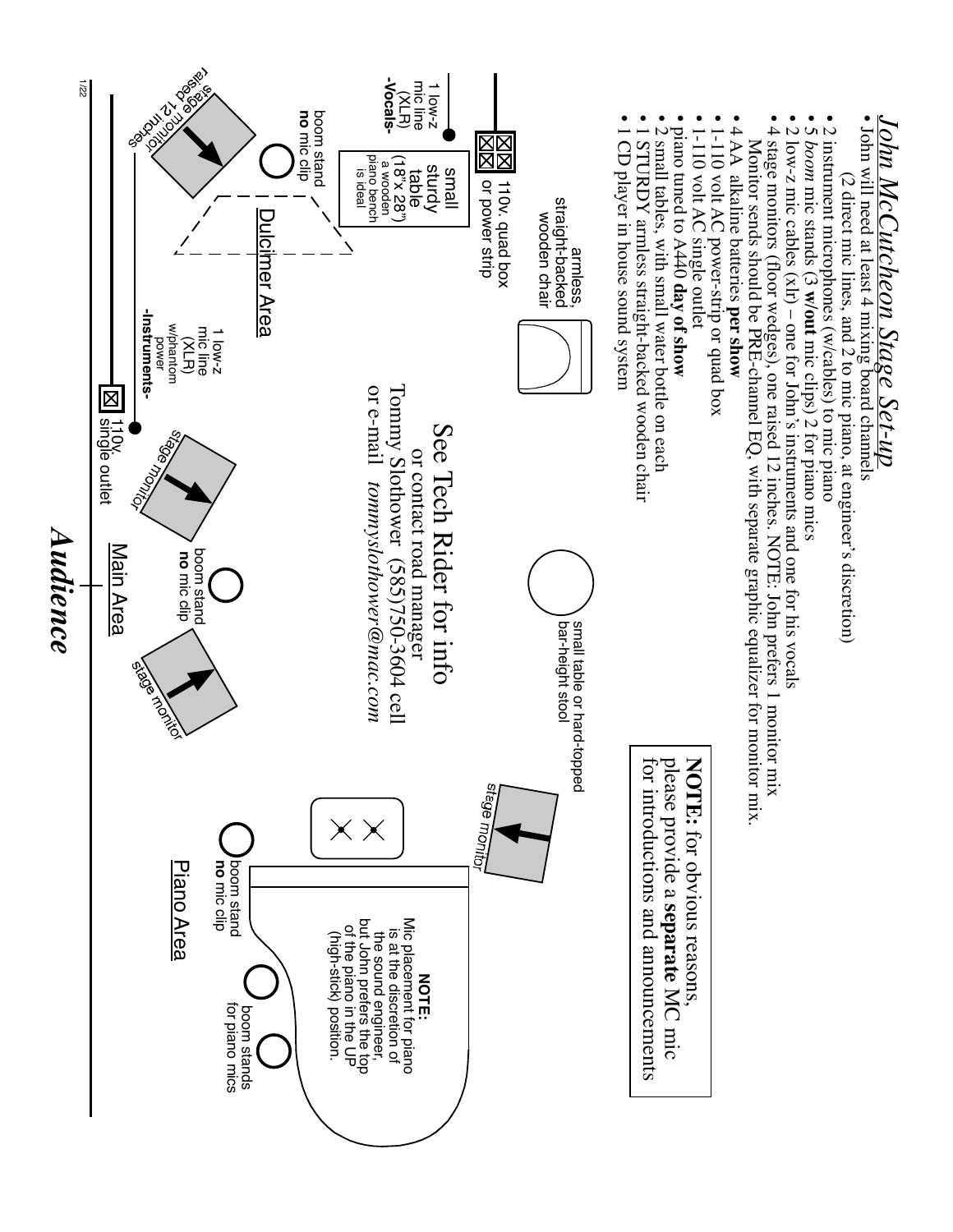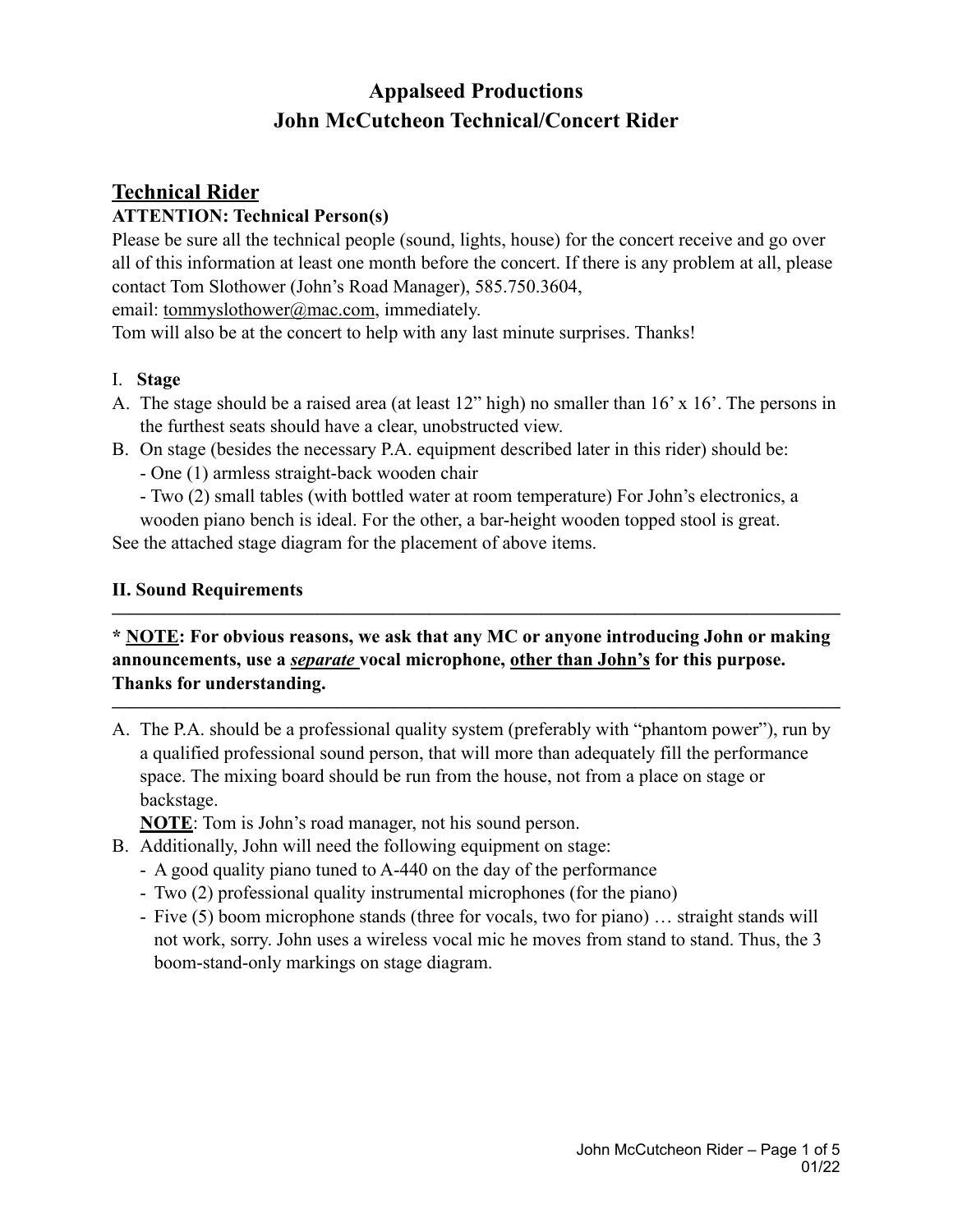# **Appalseed Productions John McCutcheon Technical/Concert Rider**

# **Technical Rider ATTENTION: Technical Person(s)**

Please be sure all the technical people (sound, lights, house) for the concert receive and go over all of this information at least one month before the concert. If there is any problem at all, please contact Tom Slothower (John's Road Manager), 585.750.3604,

email: [tommyslothower@mac.com](mailto:tommyslothower@mac.com), immediately.

Tom will also be at the concert to help with any last minute surprises. Thanks!

## I. **Stage**

- A. The stage should be a raised area (at least 12" high) no smaller than 16' x 16'. The persons in the furthest seats should have a clear, unobstructed view.
- B. On stage (besides the necessary P.A. equipment described later in this rider) should be:

- One (1) armless straight-back wooden chair

- Two (2) small tables (with bottled water at room temperature) For John's electronics, a

wooden piano bench is ideal. For the other, a bar-height wooden topped stool is great. See the attached stage diagram for the placement of above items.

#### **II. Sound Requirements**

## **\* NOTE: For obvious reasons, we ask that any MC or anyone introducing John or making announcements, use a** *separate* **vocal microphone, other than John's for this purpose. Thanks for understanding.**

**———————————————————————————————————————** 

**———————————————————————————————————————** 

A. The P.A. should be a professional quality system (preferably with "phantom power"), run by a qualified professional sound person, that will more than adequately fill the performance space. The mixing board should be run from the house, not from a place on stage or backstage.

**NOTE**: Tom is John's road manager, not his sound person.

- B. Additionally, John will need the following equipment on stage:
	- A good quality piano tuned to A-440 on the day of the performance
	- Two (2) professional quality instrumental microphones (for the piano)
	- Five (5) boom microphone stands (three for vocals, two for piano) … straight stands will not work, sorry. John uses a wireless vocal mic he moves from stand to stand. Thus, the 3 boom-stand-only markings on stage diagram.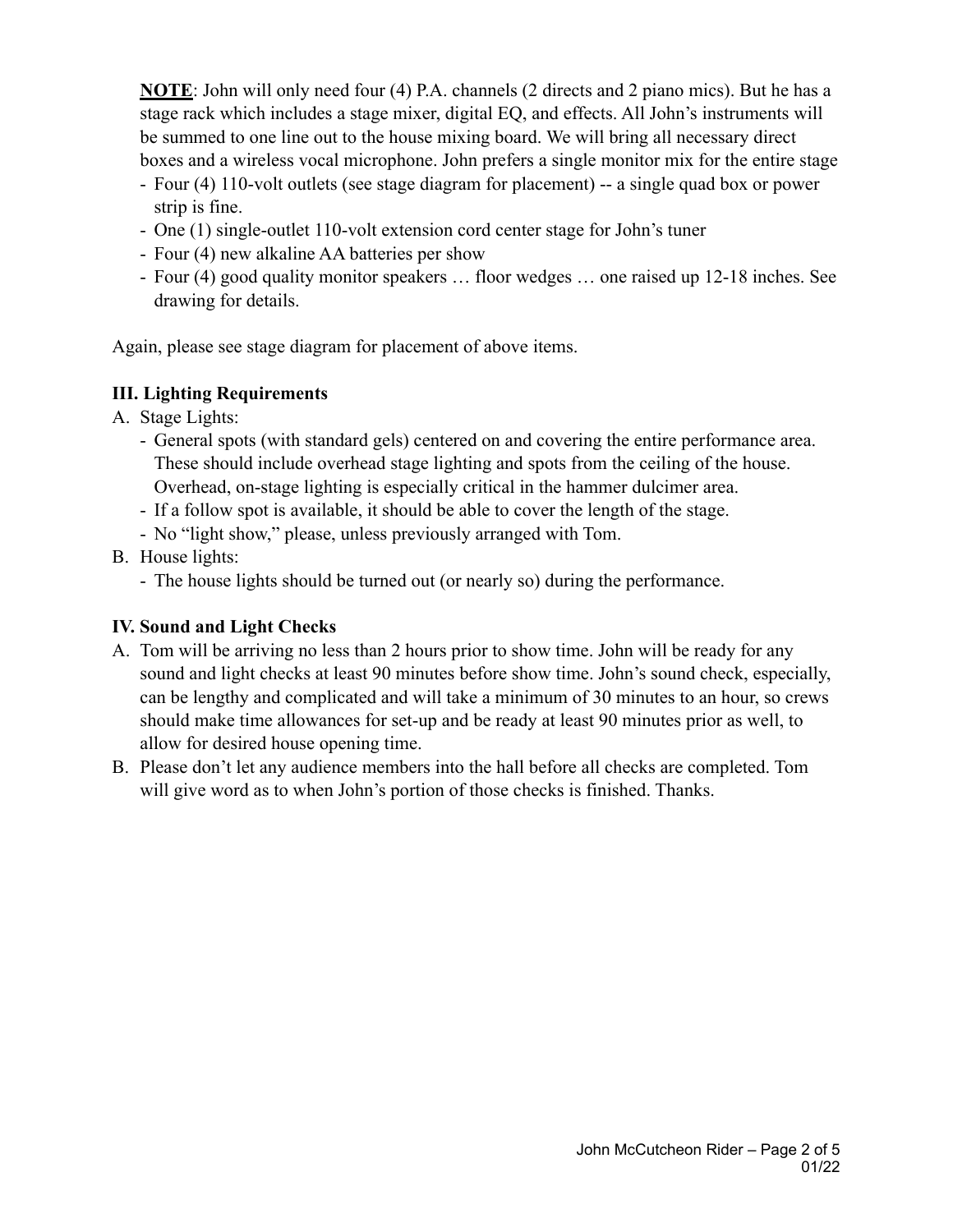**NOTE**: John will only need four (4) P.A. channels (2 directs and 2 piano mics). But he has a stage rack which includes a stage mixer, digital EQ, and effects. All John's instruments will be summed to one line out to the house mixing board. We will bring all necessary direct boxes and a wireless vocal microphone. John prefers a single monitor mix for the entire stage

- Four (4) 110-volt outlets (see stage diagram for placement) -- a single quad box or power strip is fine.
- One (1) single-outlet 110-volt extension cord center stage for John's tuner
- Four (4) new alkaline AA batteries per show
- Four (4) good quality monitor speakers … floor wedges … one raised up 12-18 inches. See drawing for details.

Again, please see stage diagram for placement of above items.

#### **III. Lighting Requirements**

- A. Stage Lights:
	- General spots (with standard gels) centered on and covering the entire performance area. These should include overhead stage lighting and spots from the ceiling of the house. Overhead, on-stage lighting is especially critical in the hammer dulcimer area.
	- If a follow spot is available, it should be able to cover the length of the stage.
	- No "light show," please, unless previously arranged with Tom.
- B. House lights:
	- The house lights should be turned out (or nearly so) during the performance.

### **IV. Sound and Light Checks**

- A. Tom will be arriving no less than 2 hours prior to show time. John will be ready for any sound and light checks at least 90 minutes before show time. John's sound check, especially, can be lengthy and complicated and will take a minimum of 30 minutes to an hour, so crews should make time allowances for set-up and be ready at least 90 minutes prior as well, to allow for desired house opening time.
- B. Please don't let any audience members into the hall before all checks are completed. Tom will give word as to when John's portion of those checks is finished. Thanks.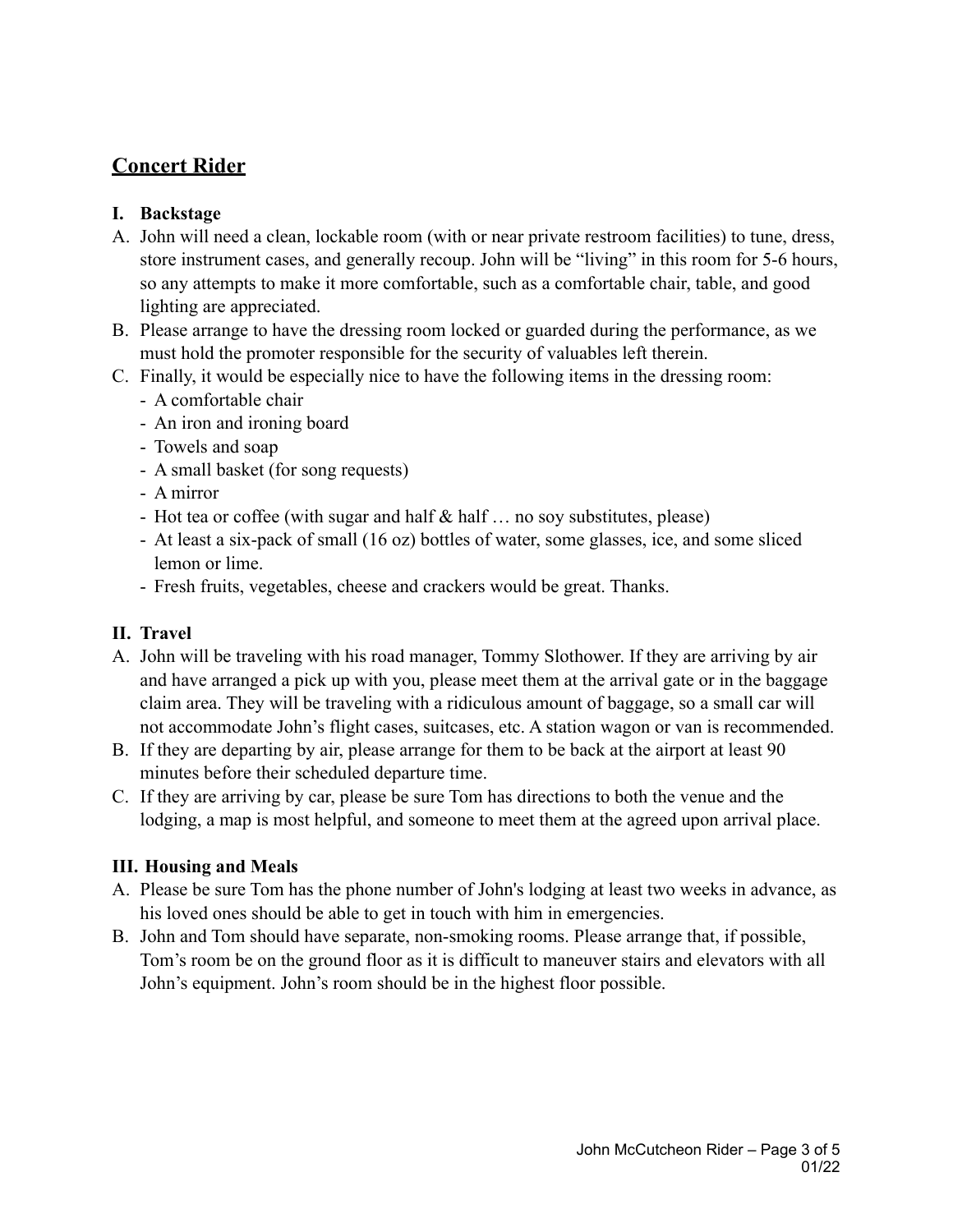# **Concert Rider**

## **I. Backstage**

- A. John will need a clean, lockable room (with or near private restroom facilities) to tune, dress, store instrument cases, and generally recoup. John will be "living" in this room for 5-6 hours, so any attempts to make it more comfortable, such as a comfortable chair, table, and good lighting are appreciated.
- B. Please arrange to have the dressing room locked or guarded during the performance, as we must hold the promoter responsible for the security of valuables left therein.
- C. Finally, it would be especially nice to have the following items in the dressing room:
	- A comfortable chair
	- An iron and ironing board
	- Towels and soap
	- A small basket (for song requests)
	- A mirror
	- Hot tea or coffee (with sugar and half & half ... no soy substitutes, please)
	- At least a six-pack of small (16 oz) bottles of water, some glasses, ice, and some sliced lemon or lime.
	- Fresh fruits, vegetables, cheese and crackers would be great. Thanks.

## **II. Travel**

- A. John will be traveling with his road manager, Tommy Slothower. If they are arriving by air and have arranged a pick up with you, please meet them at the arrival gate or in the baggage claim area. They will be traveling with a ridiculous amount of baggage, so a small car will not accommodate John's flight cases, suitcases, etc. A station wagon or van is recommended.
- B. If they are departing by air, please arrange for them to be back at the airport at least 90 minutes before their scheduled departure time.
- C. If they are arriving by car, please be sure Tom has directions to both the venue and the lodging, a map is most helpful, and someone to meet them at the agreed upon arrival place.

## **III. Housing and Meals**

- A. Please be sure Tom has the phone number of John's lodging at least two weeks in advance, as his loved ones should be able to get in touch with him in emergencies.
- B. John and Tom should have separate, non-smoking rooms. Please arrange that, if possible, Tom's room be on the ground floor as it is difficult to maneuver stairs and elevators with all John's equipment. John's room should be in the highest floor possible.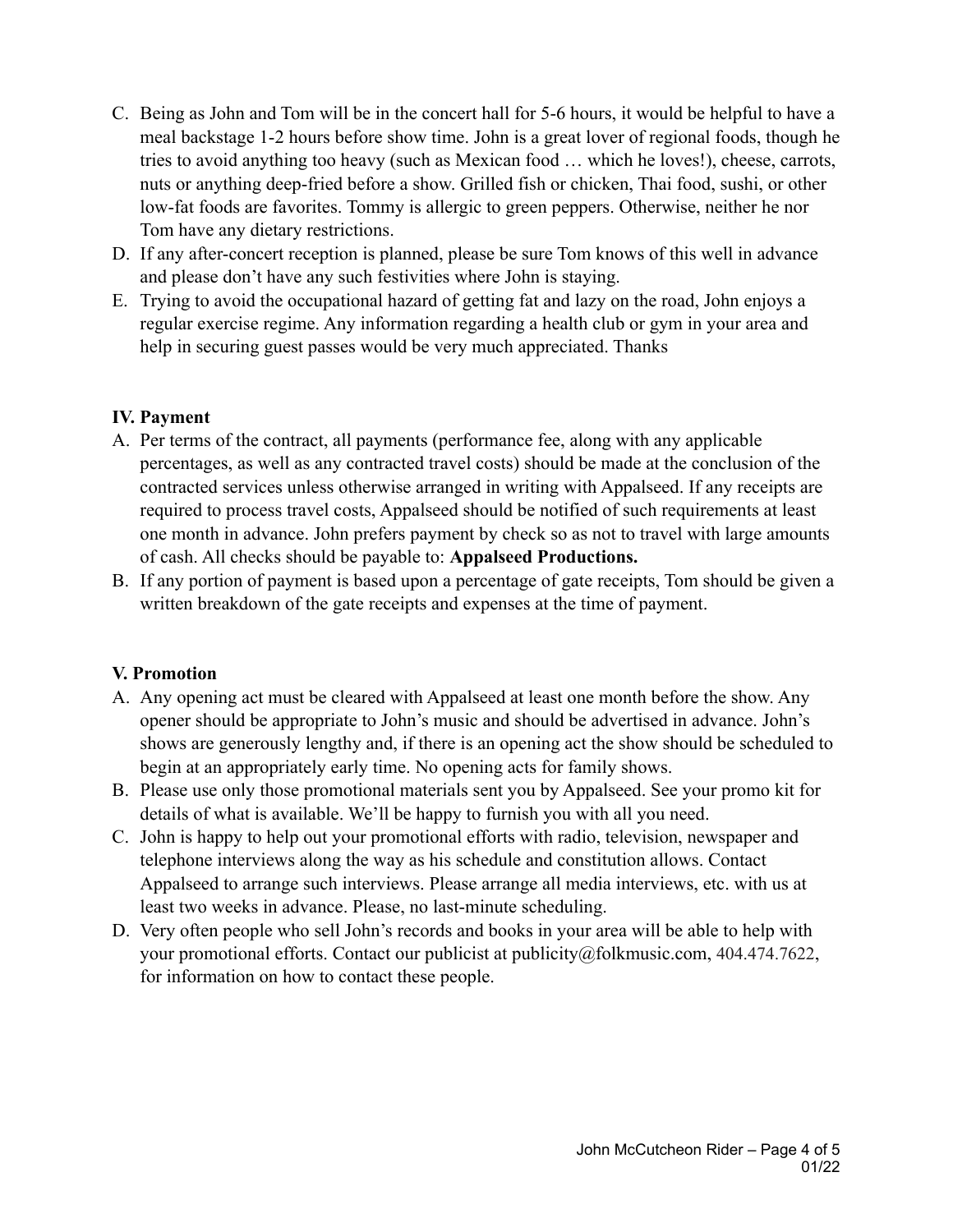- C. Being as John and Tom will be in the concert hall for 5-6 hours, it would be helpful to have a meal backstage 1-2 hours before show time. John is a great lover of regional foods, though he tries to avoid anything too heavy (such as Mexican food … which he loves!), cheese, carrots, nuts or anything deep-fried before a show. Grilled fish or chicken, Thai food, sushi, or other low-fat foods are favorites. Tommy is allergic to green peppers. Otherwise, neither he nor Tom have any dietary restrictions.
- D. If any after-concert reception is planned, please be sure Tom knows of this well in advance and please don't have any such festivities where John is staying.
- E. Trying to avoid the occupational hazard of getting fat and lazy on the road, John enjoys a regular exercise regime. Any information regarding a health club or gym in your area and help in securing guest passes would be very much appreciated. Thanks

## **IV. Payment**

- A. Per terms of the contract, all payments (performance fee, along with any applicable percentages, as well as any contracted travel costs) should be made at the conclusion of the contracted services unless otherwise arranged in writing with Appalseed. If any receipts are required to process travel costs, Appalseed should be notified of such requirements at least one month in advance. John prefers payment by check so as not to travel with large amounts of cash. All checks should be payable to: **Appalseed Productions.**
- B. If any portion of payment is based upon a percentage of gate receipts, Tom should be given a written breakdown of the gate receipts and expenses at the time of payment.

#### **V. Promotion**

- A. Any opening act must be cleared with Appalseed at least one month before the show. Any opener should be appropriate to John's music and should be advertised in advance. John's shows are generously lengthy and, if there is an opening act the show should be scheduled to begin at an appropriately early time. No opening acts for family shows.
- B. Please use only those promotional materials sent you by Appalseed. See your promo kit for details of what is available. We'll be happy to furnish you with all you need.
- C. John is happy to help out your promotional efforts with radio, television, newspaper and telephone interviews along the way as his schedule and constitution allows. Contact Appalseed to arrange such interviews. Please arrange all media interviews, etc. with us at least two weeks in advance. Please, no last-minute scheduling.
- D. Very often people who sell John's records and books in your area will be able to help with your promotional efforts. Contact our publicist at publicity@folkmusic.com, 404.474.7622, for information on how to contact these people.